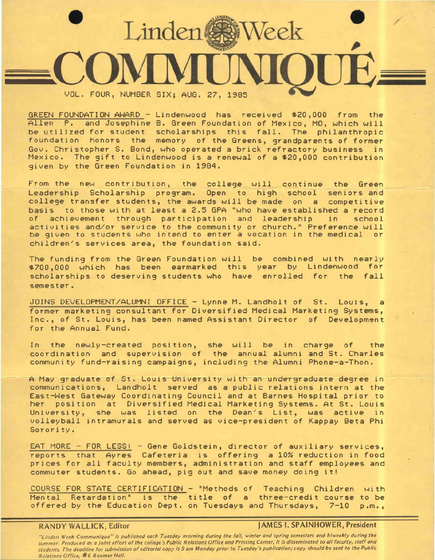

GREEN FOUNDATION AWARD - Lindenwood has received \$20,000 from the Allen P. and Josephine B. Green Foundation of Mexico, MO, which will be utilized for student scholarships this fall. The philanthropic foundation honors the memory of the Greens, grandparents of former Gov. Christopher S. Bond, who operated a brick refractory business in Mexico. The gift to Lindenwood is a renewal of a \$20,000 contribution given by the Green Foundation in 1984.

From the new contribution, the college will continue the Green Leadership Scholarship program. Open to high school seniors and college transfer students, the awards will be made on a competitive basis to those with at least a 2.5 GPA "who have established a record of achievement through participation and leadership activities and/or service to the community or church." Preference will be given to students who intend to enter a vocation in the medical or children's services area, the foundation said.

The funding from the Green Foundation will be combined with nearly \$700,000 which has been earmarked this year by Lindenwood for scholarships to deserving students who have enrolled for the fall semester.

JOINS DEVELOPMENT/ALUMNI OFFICE - Lynne M. Landholt of St. Louis, a former marketing consultant for Diversified Medical Marketing Systems, Inc., of St. Louis, has been named Assistant Director of Development for the Annual Fund.

In the newly-created position, she will be in charge of the coordination and supervision of the annual alumni and St. Charles community fund-raising campaigns, including the Alumni Phone-a-Thon.

A May graduate of St. Louis dniversity with an undergraduate degree in communications, Landholt served as a public relations intern at the East-West Gateway Coordinating Council and at Barnes Hospital prior to her position at Diversified Medical Marketing Systems. At St. Louis University, she was listed on the Dean's List, was active in volleyball intramurals and served as vice-president of Kappay Beta Phi Sorority.

EAT MORE - FOR LESS! - Gene Goldstein, director of auxiliary services, reports that Ayres Cafeteria is offering a 10% reduction in food prices for all faculty members, administration and staff employees and commuter students. Go ahead, pig out and save money doing it!

COURSE FOR STATE CERTIFICATION - "Methods of Teaching Children with<br>Mental Retardation" is the title of a three-credit course to be Retardation" is the title of a three-credit course to be offered by the Education Dept. on Tuesdays and Thursdays, 7-10 p.m.,

## **RANDY WALLICK,** Editor **JAMES** I. **SPAINHOWER, President**

"Linden Week Communique" is published each Tuesday morning during the foll, winter and spring semesters and biweekly during the summer. Produced os o joint effort of the college's Public Relations Office and Printing Center, it is disseminated to all faculty, staff and students. The deadline for submission of editorial copy Is 9 om Monday prior to Tuesday's publication; copy should be sent to the Public Relations Office, #6 Roemer Holl.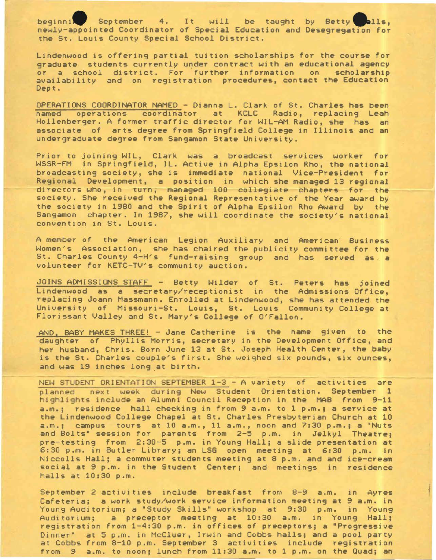**beginni.** September 4. It will be taught by Betty **Calls,**<br>newly-appointed Coordinator of Special Education and Desegregation for the St. Louis County Special School District.

Lindenwood is offering partial tuition scholarships for the course for graduate students currently under contract with an educational agency or a school district. For further information on scholarship availability and on registration procedures, contact the Education Dept.

OPERATIONS COORDINATOR NAMED - Dianna L. Clark of St. Charles has been named operations coordinator at KCLC Radio, replacing Leah Hollenberger. A former traffic director for WIL-AM Radio, she has an associate of arts degree from Springfield College in Illinois and an undergraduate degree from Sangamon State University.

Prior to joining WIL, Clark was a broadcast services worker for WSSR-FM in Springfield, IL. Active in Alpha Epsilon Rho, the national broadcasting society, she is immediate national Vice-President for Regional Development, a position in which she managed 13 regional directors who, in turn, managed 100 collegiate chapters for the society. She received the Regional Representative of the Year award by the society in 1980 and the Spirit of Alpha Epsilon Rho Award by the Sangamon chapter. In 1987, she will coordinate the society's national convention in St. Louis.

A member of the American Legion Auxiliary and American Business Women's Association, she has chaired the publicity committee for the St. Charles County 4-H's fund-raising group and has served as a volunteer for KETC-TV's community auction.

JOINS ADMISSIONS STAFF - Betty Wilder of St. Peters has joined Lindenwood as a secretary/receptionist in the Admissions Office, replacing Joann Massmann. Enrolled at Lindenwood, she has attended the University of Missouri-St. Louis, St. Louis Community College at Florissant Valley and St. Mary's College of O'Fallon.

AND, BABY MAKES THREE! - Jane Catherine is the name given to the daughter of Phyllis Morris, secretary in the Development Office, and her husband, Chris. Born June 13 at St. Joseph Health Center, the baby is the St. Charles couple's first. She weighed six pounds, six ounces, and was 19 inches long at birth.

NEW STUDENT ORIENTATION SEPTEMBER 1-3 - A variety of activities are planned next week during New Student Orientation. September 1 highlights include an Alumni Council Reception in the MAB from 9-11 a.m.; residence hall checking in from 9 a.m. to l p.m.; a service at the Lindenwood College Chapel at St. Charles Presbyterian Church at 10 a.m.; campus tours at 10 a.m., 11 a.m., noon and 7:30 p.m.; a "Nuts and Bolts" session for parents from 2-5 p.m. in Jelkyl Theatre; pre-testing from 2:30-5 p.m. in Young Hall; a slide presentation at 6:30 p.m. in Butler Library; an LSG open meeting at 6:30 p.m. in Niccolls Hall; a commuter students meeting at 8 p.m. and and ice-cream social at 9 p.m. in the Student Center; and meetings in residence halls at 10:30 p.m.

September 2 activities include breakfast from 8-9 a.m. in Ayres Cafeteria; a work study/work service information meeting at 9 a.m. in Young Auditorium; a "Study Skills" workshop at 9:30 p.m. in Young Auditorium; a preceptor meeting at 10:30 a.m. in Young Hall; registration from 1-4:30 p.m. in offices of preceptors; **a "Progressive**  Dinner" at 5 p.m. in McCluer, Irwin and Cobbs halls; and a pool party at Cobbs from 8-10 p.m. September 3 activities include registration from 9 a.m. to noon; lunch from 11:30 a.m. to 1 p.m. on the Quad; an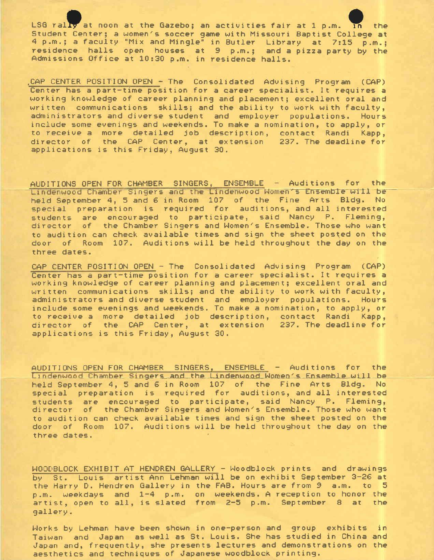LSG rally at noon at the Gazebo; an activities fair at 1 p.m. In the Student Center; a women's soccer game with Missouri Baptist College at <sup>4</sup>p.m.; a faculty "Mix and Mingle" in Butler Library at 7:15 p.m.; residence halls open houses at 9 p.m.; and a pizza party by the Admissions Office at 10:30 p.m. in residence halls.

,CAP CENTER POSITION OPEN - The Consolidated Advising Program (CAP) Center has a part-time position for a career specialist. It requires a working knowledge of career planning and placement; excellent oral and written communications skills; and the ability to work with faculty, administrators and diverse student and employer populations. Hours include some evenings and weekends. To **make** a nomination, **to apply,** or to receive a more detailed job description, contact Randi **Kapp,**  director of the CAP Center, at extension 237. The deadline for applications is this Friday, August 30.

AUDITIONS OPEN FOR CHAMBER SINGERS, ENSEMBLE - Auditions for the Lindenwood Chamber Singers and the Lindenwood Women's Ensemble will be held September 4, 5 and 6 in Room 107 of the Fine Arts Bldg. No special preparation is required for auditions, and all interested students *are* encouraged to participate, said Nancy P. Fleming, director of the Chamber Singers and Women's Ensemble. Those who want to audition can check available times and sign the sheet posted on the door of Room 107. Auditions will be held throughout the day on the three dates.

CAP CENTER POSITION OPEN - The Consolidated Advising Program (CAP) Center has a part-time position for a *career* specialist. It requires a working knowledge of career planning and placement; excellent oral and written communications skills; and the ability to work with faculty, administrators and diverse student and employer populations. Hours include some evenings and weekends. To make a nomination, to apply, or to receive a *more* detailed job description, contact Randi **Kapp,**  director of the CAP Center, at extension 237. The deadline for applications is this Friday, August 30.

AUDITIONS OPEN FOR CHAMBER SINGERS, ENSEMBLE Auditions for the Lindenwood Chamber Singers and the Lindenwood Women's Ensemble will be held September 4, 5 and 6 in Room 107 of the Fine Arts Bldg. No special preparation is required for auditions, and all interested students are encouraged to participate, said Nancy P. Fleming, director of the Chamber Singers and Women's Ensemble. Those who want to audition can check available times and sign the sheet posted on the door of Room 107. Auditions will be held throughout the day on the three dates.

WOODBLOCK EXHIBIT AT HENDREN GALLERY - Woodblock prints and drawings by St. Louis artist Ann Lehman will be on exhibit September 3-26 at the Harry D. Hendren Gallery in the FAB. Hours are from 9 a.m. to 5 p.m. weekdays and 1-4 p.m. on weekends. A reception to honor the artist, open to all, is slated from 2-5 p.m. September 8 at the gallery.

Works by Lehman have been shown in one-person and group exhibits in Taiwan and Japan as well as St. Louis. She has studied in China and ,Japan and, frequently, she presents lectures and demonstrations on the aesthetics and techniques of Japanese woodblock printing.